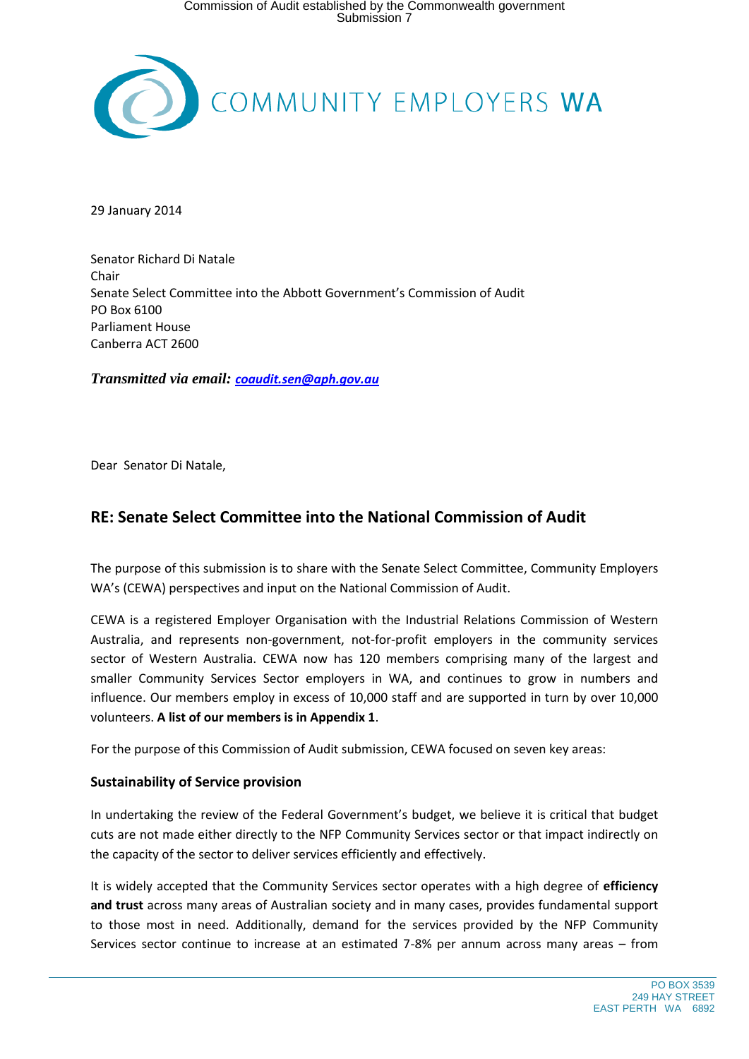

29 January 2014

Senator Richard Di Natale Chair Senate Select Committee into the Abbott Government's Commission of Audit PO Box 6100 Parliament House Canberra ACT 2600

*Transmitted via email: [coaudit.sen@aph.gov.au](mailto:coaudit.sen@aph.gov.au)*

Dear Senator Di Natale,

# **RE: Senate Select Committee into the National Commission of Audit**

The purpose of this submission is to share with the Senate Select Committee, Community Employers WA's (CEWA) perspectives and input on the National Commission of Audit.

CEWA is a registered Employer Organisation with the Industrial Relations Commission of Western Australia, and represents non-government, not-for-profit employers in the community services sector of Western Australia. CEWA now has 120 members comprising many of the largest and smaller Community Services Sector employers in WA, and continues to grow in numbers and influence. Our members employ in excess of 10,000 staff and are supported in turn by over 10,000 volunteers. **A list of our members is in Appendix 1**.

For the purpose of this Commission of Audit submission, CEWA focused on seven key areas:

# **Sustainability of Service provision**

In undertaking the review of the Federal Government's budget, we believe it is critical that budget cuts are not made either directly to the NFP Community Services sector or that impact indirectly on the capacity of the sector to deliver services efficiently and effectively.

It is widely accepted that the Community Services sector operates with a high degree of **efficiency and trust** across many areas of Australian society and in many cases, provides fundamental support to those most in need. Additionally, demand for the services provided by the NFP Community Services sector continue to increase at an estimated 7-8% per annum across many areas – from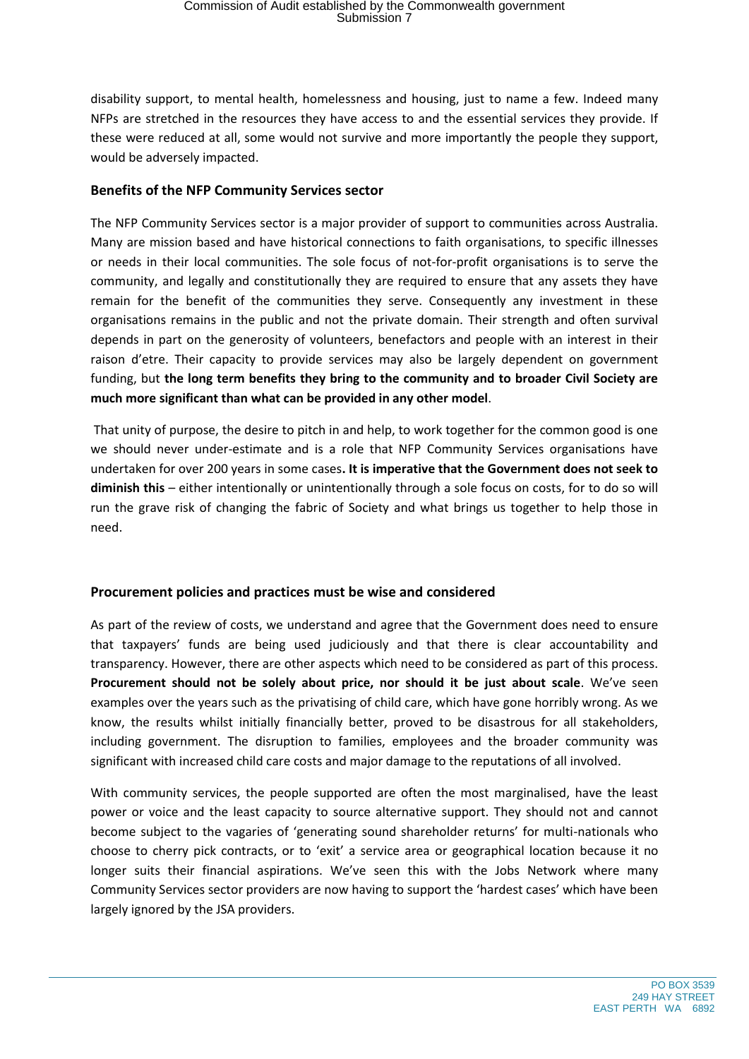disability support, to mental health, homelessness and housing, just to name a few. Indeed many NFPs are stretched in the resources they have access to and the essential services they provide. If these were reduced at all, some would not survive and more importantly the people they support, would be adversely impacted.

# **Benefits of the NFP Community Services sector**

The NFP Community Services sector is a major provider of support to communities across Australia. Many are mission based and have historical connections to faith organisations, to specific illnesses or needs in their local communities. The sole focus of not-for-profit organisations is to serve the community, and legally and constitutionally they are required to ensure that any assets they have remain for the benefit of the communities they serve. Consequently any investment in these organisations remains in the public and not the private domain. Their strength and often survival depends in part on the generosity of volunteers, benefactors and people with an interest in their raison d'etre. Their capacity to provide services may also be largely dependent on government funding, but **the long term benefits they bring to the community and to broader Civil Society are much more significant than what can be provided in any other model**.

That unity of purpose, the desire to pitch in and help, to work together for the common good is one we should never under-estimate and is a role that NFP Community Services organisations have undertaken for over 200 years in some cases**. It is imperative that the Government does not seek to diminish this** – either intentionally or unintentionally through a sole focus on costs, for to do so will run the grave risk of changing the fabric of Society and what brings us together to help those in need.

# **Procurement policies and practices must be wise and considered**

As part of the review of costs, we understand and agree that the Government does need to ensure that taxpayers' funds are being used judiciously and that there is clear accountability and transparency. However, there are other aspects which need to be considered as part of this process. **Procurement should not be solely about price, nor should it be just about scale**. We've seen examples over the years such as the privatising of child care, which have gone horribly wrong. As we know, the results whilst initially financially better, proved to be disastrous for all stakeholders, including government. The disruption to families, employees and the broader community was significant with increased child care costs and major damage to the reputations of all involved.

With community services, the people supported are often the most marginalised, have the least power or voice and the least capacity to source alternative support. They should not and cannot become subject to the vagaries of 'generating sound shareholder returns' for multi-nationals who choose to cherry pick contracts, or to 'exit' a service area or geographical location because it no longer suits their financial aspirations. We've seen this with the Jobs Network where many Community Services sector providers are now having to support the 'hardest cases' which have been largely ignored by the JSA providers.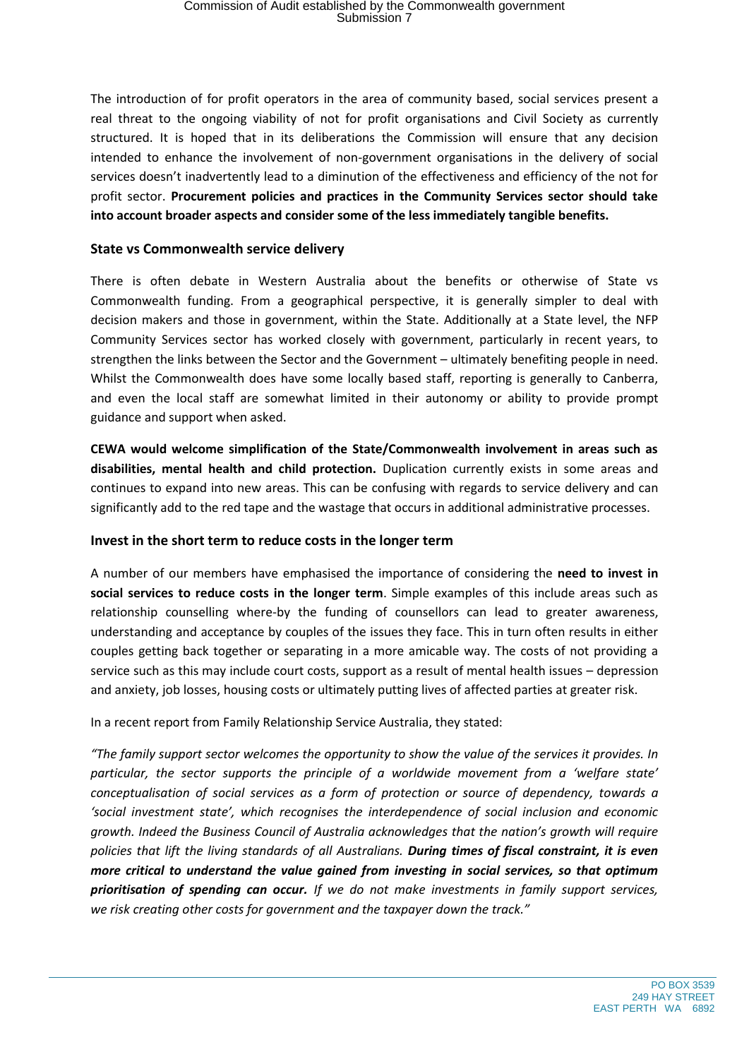The introduction of for profit operators in the area of community based, social services present a real threat to the ongoing viability of not for profit organisations and Civil Society as currently structured. It is hoped that in its deliberations the Commission will ensure that any decision intended to enhance the involvement of non-government organisations in the delivery of social services doesn't inadvertently lead to a diminution of the effectiveness and efficiency of the not for profit sector. **Procurement policies and practices in the Community Services sector should take into account broader aspects and consider some of the less immediately tangible benefits.**

# **State vs Commonwealth service delivery**

There is often debate in Western Australia about the benefits or otherwise of State vs Commonwealth funding. From a geographical perspective, it is generally simpler to deal with decision makers and those in government, within the State. Additionally at a State level, the NFP Community Services sector has worked closely with government, particularly in recent years, to strengthen the links between the Sector and the Government – ultimately benefiting people in need. Whilst the Commonwealth does have some locally based staff, reporting is generally to Canberra, and even the local staff are somewhat limited in their autonomy or ability to provide prompt guidance and support when asked.

**CEWA would welcome simplification of the State/Commonwealth involvement in areas such as disabilities, mental health and child protection.** Duplication currently exists in some areas and continues to expand into new areas. This can be confusing with regards to service delivery and can significantly add to the red tape and the wastage that occurs in additional administrative processes.

# **Invest in the short term to reduce costs in the longer term**

A number of our members have emphasised the importance of considering the **need to invest in social services to reduce costs in the longer term**. Simple examples of this include areas such as relationship counselling where-by the funding of counsellors can lead to greater awareness, understanding and acceptance by couples of the issues they face. This in turn often results in either couples getting back together or separating in a more amicable way. The costs of not providing a service such as this may include court costs, support as a result of mental health issues – depression and anxiety, job losses, housing costs or ultimately putting lives of affected parties at greater risk.

In a recent report from Family Relationship Service Australia, they stated:

*"The family support sector welcomes the opportunity to show the value of the services it provides. In particular, the sector supports the principle of a worldwide movement from a 'welfare state' conceptualisation of social services as a form of protection or source of dependency, towards a 'social investment state', which recognises the interdependence of social inclusion and economic growth. Indeed the Business Council of Australia acknowledges that the nation's growth will require policies that lift the living standards of all Australians. During times of fiscal constraint, it is even more critical to understand the value gained from investing in social services, so that optimum prioritisation of spending can occur. If we do not make investments in family support services, we risk creating other costs for government and the taxpayer down the track."*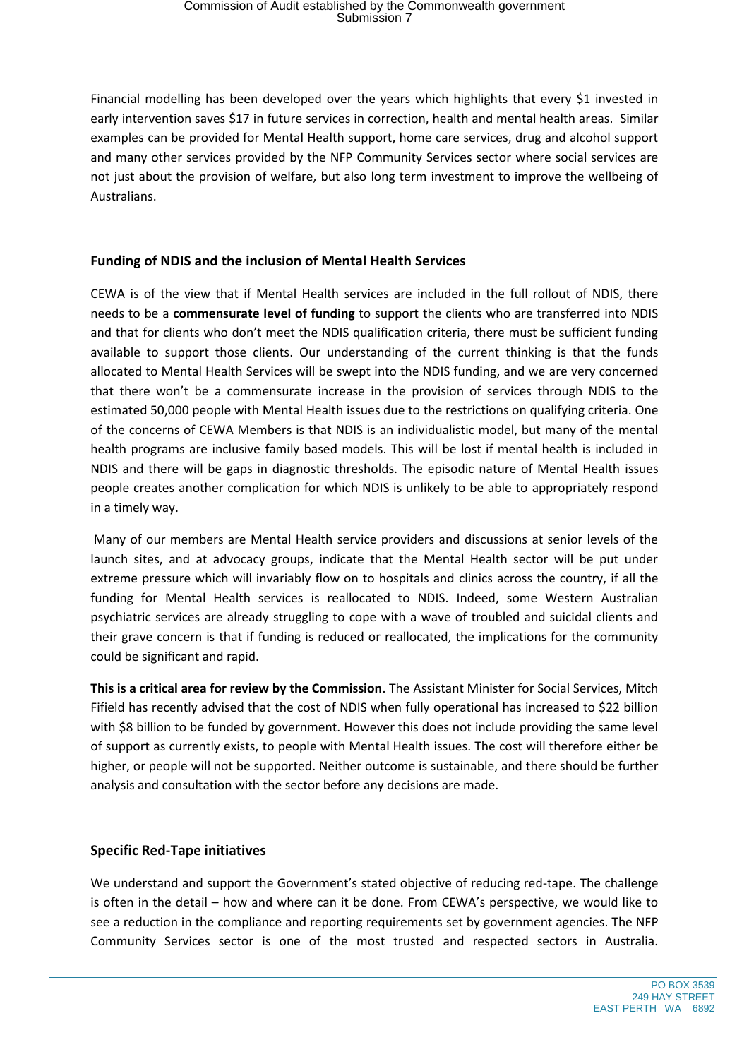Financial modelling has been developed over the years which highlights that every \$1 invested in early intervention saves \$17 in future services in correction, health and mental health areas. Similar examples can be provided for Mental Health support, home care services, drug and alcohol support and many other services provided by the NFP Community Services sector where social services are not just about the provision of welfare, but also long term investment to improve the wellbeing of Australians.

# **Funding of NDIS and the inclusion of Mental Health Services**

CEWA is of the view that if Mental Health services are included in the full rollout of NDIS, there needs to be a **commensurate level of funding** to support the clients who are transferred into NDIS and that for clients who don't meet the NDIS qualification criteria, there must be sufficient funding available to support those clients. Our understanding of the current thinking is that the funds allocated to Mental Health Services will be swept into the NDIS funding, and we are very concerned that there won't be a commensurate increase in the provision of services through NDIS to the estimated 50,000 people with Mental Health issues due to the restrictions on qualifying criteria. One of the concerns of CEWA Members is that NDIS is an individualistic model, but many of the mental health programs are inclusive family based models. This will be lost if mental health is included in NDIS and there will be gaps in diagnostic thresholds. The episodic nature of Mental Health issues people creates another complication for which NDIS is unlikely to be able to appropriately respond in a timely way.

Many of our members are Mental Health service providers and discussions at senior levels of the launch sites, and at advocacy groups, indicate that the Mental Health sector will be put under extreme pressure which will invariably flow on to hospitals and clinics across the country, if all the funding for Mental Health services is reallocated to NDIS. Indeed, some Western Australian psychiatric services are already struggling to cope with a wave of troubled and suicidal clients and their grave concern is that if funding is reduced or reallocated, the implications for the community could be significant and rapid.

**This is a critical area for review by the Commission**. The Assistant Minister for Social Services, Mitch Fifield has recently advised that the cost of NDIS when fully operational has increased to \$22 billion with \$8 billion to be funded by government. However this does not include providing the same level of support as currently exists, to people with Mental Health issues. The cost will therefore either be higher, or people will not be supported. Neither outcome is sustainable, and there should be further analysis and consultation with the sector before any decisions are made.

# **Specific Red-Tape initiatives**

We understand and support the Government's stated objective of reducing red-tape. The challenge is often in the detail – how and where can it be done. From CEWA's perspective, we would like to see a reduction in the compliance and reporting requirements set by government agencies. The NFP Community Services sector is one of the most trusted and respected sectors in Australia.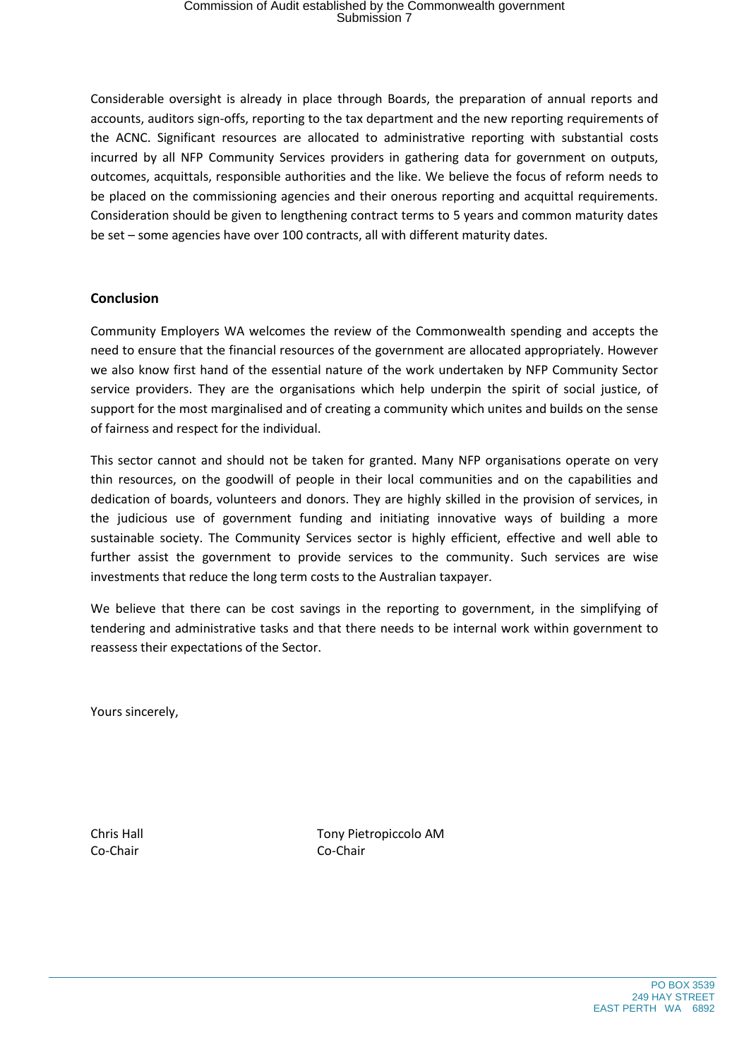Considerable oversight is already in place through Boards, the preparation of annual reports and accounts, auditors sign-offs, reporting to the tax department and the new reporting requirements of the ACNC. Significant resources are allocated to administrative reporting with substantial costs incurred by all NFP Community Services providers in gathering data for government on outputs, outcomes, acquittals, responsible authorities and the like. We believe the focus of reform needs to be placed on the commissioning agencies and their onerous reporting and acquittal requirements. Consideration should be given to lengthening contract terms to 5 years and common maturity dates be set – some agencies have over 100 contracts, all with different maturity dates.

# **Conclusion**

Community Employers WA welcomes the review of the Commonwealth spending and accepts the need to ensure that the financial resources of the government are allocated appropriately. However we also know first hand of the essential nature of the work undertaken by NFP Community Sector service providers. They are the organisations which help underpin the spirit of social justice, of support for the most marginalised and of creating a community which unites and builds on the sense of fairness and respect for the individual.

This sector cannot and should not be taken for granted. Many NFP organisations operate on very thin resources, on the goodwill of people in their local communities and on the capabilities and dedication of boards, volunteers and donors. They are highly skilled in the provision of services, in the judicious use of government funding and initiating innovative ways of building a more sustainable society. The Community Services sector is highly efficient, effective and well able to further assist the government to provide services to the community. Such services are wise investments that reduce the long term costs to the Australian taxpayer.

We believe that there can be cost savings in the reporting to government, in the simplifying of tendering and administrative tasks and that there needs to be internal work within government to reassess their expectations of the Sector.

Yours sincerely,

Co-Chair Co-Chair

Chris Hall Tony Pietropiccolo AM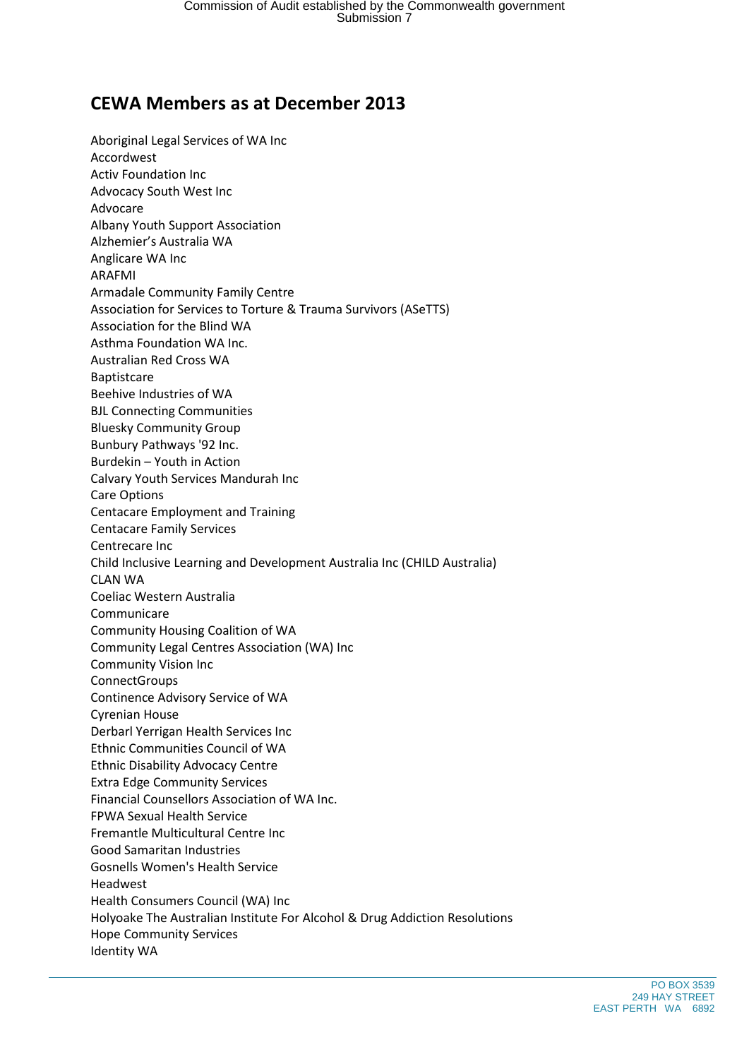# **CEWA Members as at December 2013**

Aboriginal Legal Services of WA Inc Accordwest Activ Foundation Inc Advocacy South West Inc Advocare Albany Youth Support Association Alzhemier's Australia WA Anglicare WA Inc ARAFMI Armadale Community Family Centre Association for Services to Torture & Trauma Survivors (ASeTTS) Association for the Blind WA Asthma Foundation WA Inc. Australian Red Cross WA Baptistcare Beehive Industries of WA BJL Connecting Communities Bluesky Community Group Bunbury Pathways '92 Inc. Burdekin – Youth in Action Calvary Youth Services Mandurah Inc Care Options Centacare Employment and Training Centacare Family Services Centrecare Inc Child Inclusive Learning and Development Australia Inc (CHILD Australia) CLAN WA Coeliac Western Australia Communicare Community Housing Coalition of WA Community Legal Centres Association (WA) Inc Community Vision Inc **ConnectGroups** Continence Advisory Service of WA Cyrenian House Derbarl Yerrigan Health Services Inc Ethnic Communities Council of WA Ethnic Disability Advocacy Centre Extra Edge Community Services Financial Counsellors Association of WA Inc. FPWA Sexual Health Service Fremantle Multicultural Centre Inc Good Samaritan Industries Gosnells Women's Health Service Headwest Health Consumers Council (WA) Inc Holyoake The Australian Institute For Alcohol & Drug Addiction Resolutions Hope Community Services Identity WA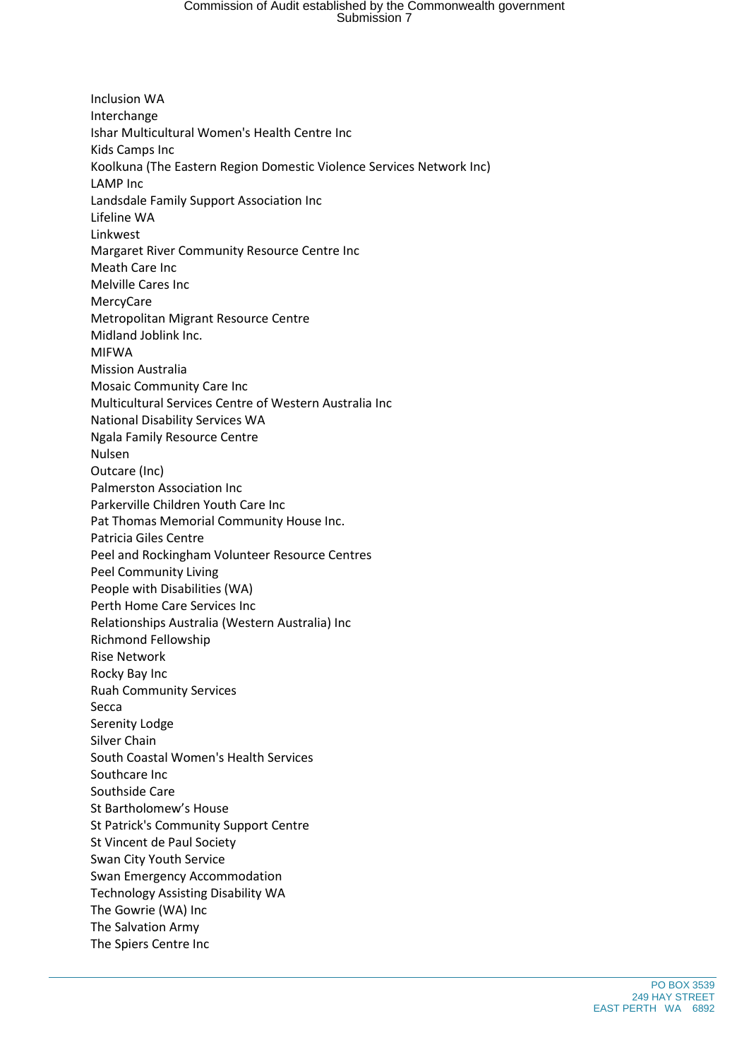# Commission of Audit established by the Commonwealth government Submission 7

Inclusion WA Interchange Ishar Multicultural Women's Health Centre Inc Kids Camps Inc Koolkuna (The Eastern Region Domestic Violence Services Network Inc) LAMP Inc Landsdale Family Support Association Inc Lifeline WA Linkwest Margaret River Community Resource Centre Inc Meath Care Inc Melville Cares Inc MercyCare Metropolitan Migrant Resource Centre Midland Joblink Inc. MIFWA Mission Australia Mosaic Community Care Inc Multicultural Services Centre of Western Australia Inc National Disability Services WA Ngala Family Resource Centre Nulsen Outcare (Inc) Palmerston Association Inc Parkerville Children Youth Care Inc Pat Thomas Memorial Community House Inc. Patricia Giles Centre Peel and Rockingham Volunteer Resource Centres Peel Community Living People with Disabilities (WA) Perth Home Care Services Inc Relationships Australia (Western Australia) Inc Richmond Fellowship Rise Network Rocky Bay Inc Ruah Community Services Secca Serenity Lodge Silver Chain South Coastal Women's Health Services Southcare Inc Southside Care St Bartholomew's House St Patrick's Community Support Centre St Vincent de Paul Society Swan City Youth Service Swan Emergency Accommodation Technology Assisting Disability WA The Gowrie (WA) Inc The Salvation Army The Spiers Centre Inc